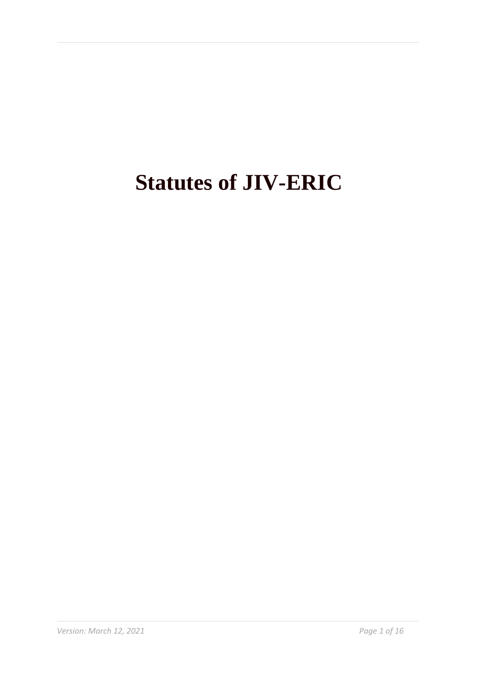# **Statutes of JIV-ERIC**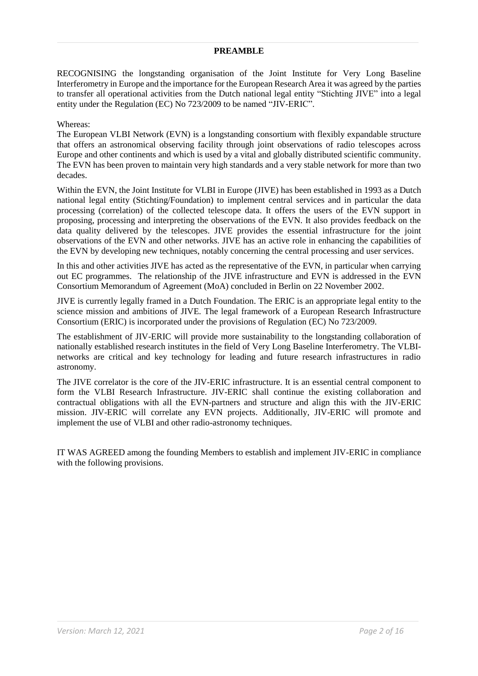#### **PREAMBLE**

RECOGNISING the longstanding organisation of the Joint Institute for Very Long Baseline Interferometry in Europe and the importance for the European Research Area it was agreed by the parties to transfer all operational activities from the Dutch national legal entity "Stichting JIVE" into a legal entity under the Regulation (EC) No 723/2009 to be named "JIV-ERIC".

#### Whereas:

The European VLBI Network (EVN) is a longstanding consortium with flexibly expandable structure that offers an astronomical observing facility through joint observations of radio telescopes across Europe and other continents and which is used by a vital and globally distributed scientific community. The EVN has been proven to maintain very high standards and a very stable network for more than two decades.

Within the EVN, the Joint Institute for VLBI in Europe (JIVE) has been established in 1993 as a Dutch national legal entity (Stichting/Foundation) to implement central services and in particular the data processing (correlation) of the collected telescope data. It offers the users of the EVN support in proposing, processing and interpreting the observations of the EVN. It also provides feedback on the data quality delivered by the telescopes. JIVE provides the essential infrastructure for the joint observations of the EVN and other networks. JIVE has an active role in enhancing the capabilities of the EVN by developing new techniques, notably concerning the central processing and user services.

In this and other activities JIVE has acted as the representative of the EVN, in particular when carrying out EC programmes. The relationship of the JIVE infrastructure and EVN is addressed in the EVN Consortium Memorandum of Agreement (MoA) concluded in Berlin on 22 November 2002.

JIVE is currently legally framed in a Dutch Foundation. The ERIC is an appropriate legal entity to the science mission and ambitions of JIVE. The legal framework of a European Research Infrastructure Consortium (ERIC) is incorporated under the provisions of Regulation (EC) No 723/2009.

The establishment of JIV-ERIC will provide more sustainability to the longstanding collaboration of nationally established research institutes in the field of Very Long Baseline Interferometry. The VLBInetworks are critical and key technology for leading and future research infrastructures in radio astronomy.

The JIVE correlator is the core of the JIV-ERIC infrastructure. It is an essential central component to form the VLBI Research Infrastructure. JIV-ERIC shall continue the existing collaboration and contractual obligations with all the EVN-partners and structure and align this with the JIV-ERIC mission. JIV-ERIC will correlate any EVN projects. Additionally, JIV-ERIC will promote and implement the use of VLBI and other radio-astronomy techniques.

IT WAS AGREED among the founding Members to establish and implement JIV-ERIC in compliance with the following provisions.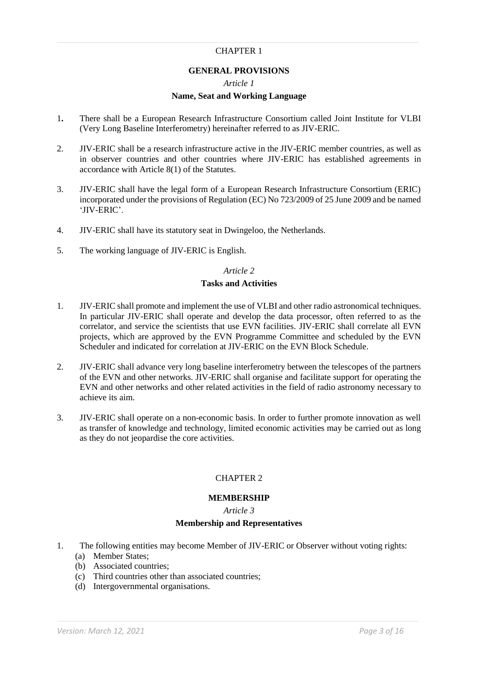## CHAPTER 1

### **GENERAL PROVISIONS**

#### *Article 1*

#### **Name, Seat and Working Language**

- 1**.** There shall be a European Research Infrastructure Consortium called Joint Institute for VLBI (Very Long Baseline Interferometry) hereinafter referred to as JIV-ERIC.
- 2. JIV-ERIC shall be a research infrastructure active in the JIV-ERIC member countries, as well as in observer countries and other countries where JIV-ERIC has established agreements in accordance with Article 8(1) of the Statutes.
- 3. JIV-ERIC shall have the legal form of a European Research Infrastructure Consortium (ERIC) incorporated under the provisions of Regulation (EC) No 723/2009 of 25 June 2009 and be named 'JIV-ERIC'.
- 4. JIV-ERIC shall have its statutory seat in Dwingeloo, the Netherlands.
- 5. The working language of JIV-ERIC is English.

#### *Article 2*

#### **Tasks and Activities**

- 1. JIV-ERIC shall promote and implement the use of VLBI and other radio astronomical techniques. In particular JIV-ERIC shall operate and develop the data processor, often referred to as the correlator, and service the scientists that use EVN facilities. JIV-ERIC shall correlate all EVN projects, which are approved by the EVN Programme Committee and scheduled by the EVN Scheduler and indicated for correlation at JIV-ERIC on the EVN Block Schedule.
- 2. JIV-ERIC shall advance very long baseline interferometry between the telescopes of the partners of the EVN and other networks. JIV-ERIC shall organise and facilitate support for operating the EVN and other networks and other related activities in the field of radio astronomy necessary to achieve its aim.
- 3. JIV-ERIC shall operate on a non-economic basis. In order to further promote innovation as well as transfer of knowledge and technology, limited economic activities may be carried out as long as they do not jeopardise the core activities.

#### CHAPTER 2

#### **MEMBERSHIP**

*Article 3*

## **Membership and Representatives**

- 1. The following entities may become Member of JIV-ERIC or Observer without voting rights:
	- (a) Member States;
	- (b) Associated countries;
	- (c) Third countries other than associated countries;
	- (d) Intergovernmental organisations.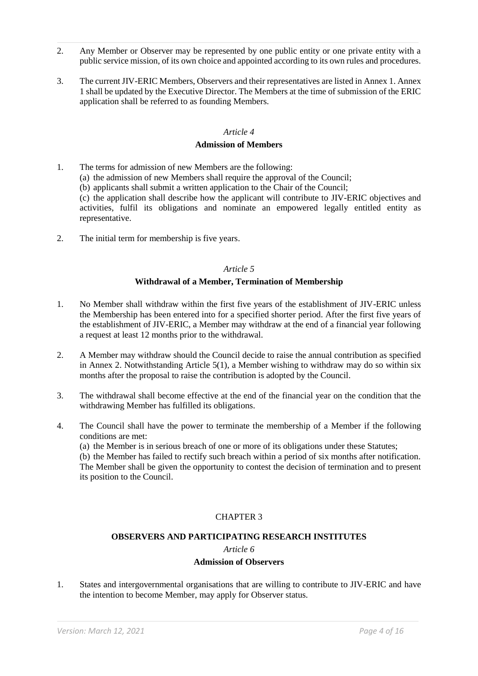- 2. Any Member or Observer may be represented by one public entity or one private entity with a public service mission, of its own choice and appointed according to its own rules and procedures.
- 3. The current JIV-ERIC Members, Observers and their representatives are listed in Annex 1. Annex 1 shall be updated by the Executive Director. The Members at the time of submission of the ERIC application shall be referred to as founding Members.

## **Admission of Members**

- 1. The terms for admission of new Members are the following: (a) the admission of new Members shall require the approval of the Council; (b) applicants shall submit a written application to the Chair of the Council; (c) the application shall describe how the applicant will contribute to JIV-ERIC objectives and activities, fulfil its obligations and nominate an empowered legally entitled entity as representative.
- 2. The initial term for membership is five years.

## *Article 5*

## **Withdrawal of a Member, Termination of Membership**

- 1. No Member shall withdraw within the first five years of the establishment of JIV-ERIC unless the Membership has been entered into for a specified shorter period. After the first five years of the establishment of JIV-ERIC, a Member may withdraw at the end of a financial year following a request at least 12 months prior to the withdrawal.
- 2. A Member may withdraw should the Council decide to raise the annual contribution as specified in Annex 2. Notwithstanding Article 5(1), a Member wishing to withdraw may do so within six months after the proposal to raise the contribution is adopted by the Council.
- 3. The withdrawal shall become effective at the end of the financial year on the condition that the withdrawing Member has fulfilled its obligations.
- 4. The Council shall have the power to terminate the membership of a Member if the following conditions are met:

(a) the Member is in serious breach of one or more of its obligations under these Statutes;

(b) the Member has failed to rectify such breach within a period of six months after notification. The Member shall be given the opportunity to contest the decision of termination and to present its position to the Council.

## CHAPTER 3

## **OBSERVERS AND PARTICIPATING RESEARCH INSTITUTES**

#### *Article 6*

## **Admission of Observers**

1. States and intergovernmental organisations that are willing to contribute to JIV-ERIC and have the intention to become Member, may apply for Observer status.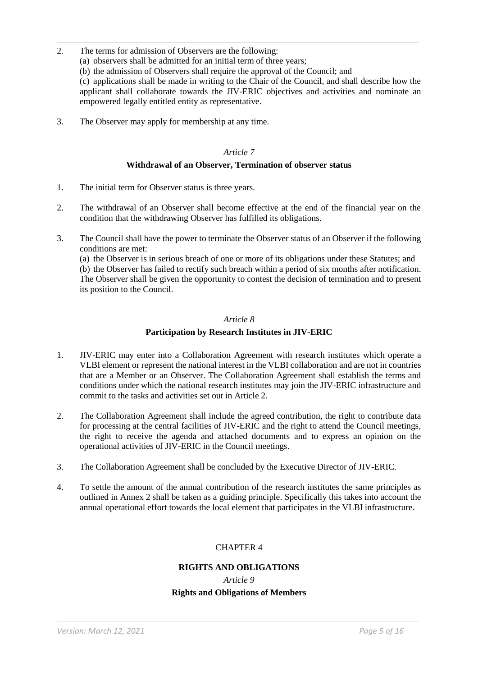- 2. The terms for admission of Observers are the following:
	- (a) observers shall be admitted for an initial term of three years;
	- (b) the admission of Observers shall require the approval of the Council; and

(c) applications shall be made in writing to the Chair of the Council, and shall describe how the applicant shall collaborate towards the JIV-ERIC objectives and activities and nominate an empowered legally entitled entity as representative.

3. The Observer may apply for membership at any time.

### *Article 7*

## **Withdrawal of an Observer, Termination of observer status**

- 1. The initial term for Observer status is three years.
- 2. The withdrawal of an Observer shall become effective at the end of the financial year on the condition that the withdrawing Observer has fulfilled its obligations.
- 3. The Council shall have the power to terminate the Observer status of an Observer if the following conditions are met:

(a) the Observer is in serious breach of one or more of its obligations under these Statutes; and (b) the Observer has failed to rectify such breach within a period of six months after notification. The Observer shall be given the opportunity to contest the decision of termination and to present its position to the Council.

#### *Article 8*

## **Participation by Research Institutes in JIV-ERIC**

- 1. JIV-ERIC may enter into a Collaboration Agreement with research institutes which operate a VLBI element or represent the national interest in the VLBI collaboration and are not in countries that are a Member or an Observer. The Collaboration Agreement shall establish the terms and conditions under which the national research institutes may join the JIV-ERIC infrastructure and commit to the tasks and activities set out in Article 2.
- 2. The Collaboration Agreement shall include the agreed contribution, the right to contribute data for processing at the central facilities of JIV-ERIC and the right to attend the Council meetings, the right to receive the agenda and attached documents and to express an opinion on the operational activities of JIV-ERIC in the Council meetings.
- 3. The Collaboration Agreement shall be concluded by the Executive Director of JIV-ERIC.
- 4. To settle the amount of the annual contribution of the research institutes the same principles as outlined in Annex 2 shall be taken as a guiding principle. Specifically this takes into account the annual operational effort towards the local element that participates in the VLBI infrastructure.

## CHAPTER 4

## **RIGHTS AND OBLIGATIONS**

## *Article 9* **Rights and Obligations of Members**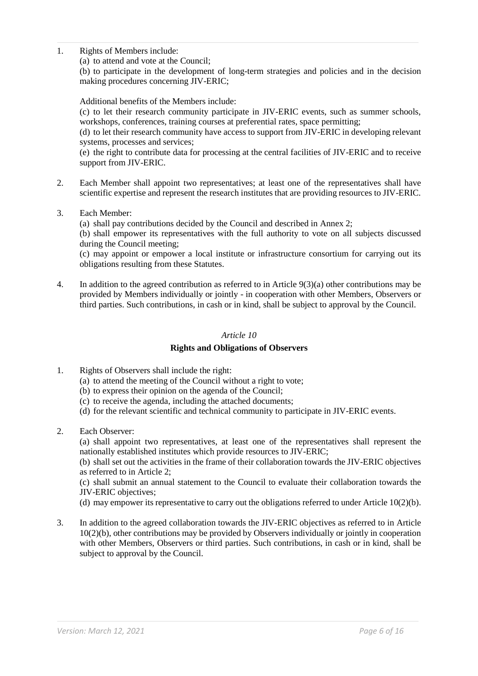1. Rights of Members include:

(a) to attend and vote at the Council;

(b) to participate in the development of long-term strategies and policies and in the decision making procedures concerning JIV-ERIC;

Additional benefits of the Members include:

(c) to let their research community participate in JIV-ERIC events, such as summer schools, workshops, conferences, training courses at preferential rates, space permitting;

(d) to let their research community have access to support from JIV-ERIC in developing relevant systems, processes and services;

(e) the right to contribute data for processing at the central facilities of JIV-ERIC and to receive support from JIV-ERIC.

- 2. Each Member shall appoint two representatives; at least one of the representatives shall have scientific expertise and represent the research institutes that are providing resources to JIV-ERIC.
- 3. Each Member:

(a) shall pay contributions decided by the Council and described in Annex 2;

(b) shall empower its representatives with the full authority to vote on all subjects discussed during the Council meeting;

(c) may appoint or empower a local institute or infrastructure consortium for carrying out its obligations resulting from these Statutes.

4. In addition to the agreed contribution as referred to in Article 9(3)(a) other contributions may be provided by Members individually or jointly - in cooperation with other Members, Observers or third parties. Such contributions, in cash or in kind, shall be subject to approval by the Council.

#### *Article 10*

## **Rights and Obligations of Observers**

- 1. Rights of Observers shall include the right:
	- (a) to attend the meeting of the Council without a right to vote;
	- (b) to express their opinion on the agenda of the Council;
	- (c) to receive the agenda, including the attached documents;
	- (d) for the relevant scientific and technical community to participate in JIV-ERIC events.
- 2. Each Observer:

(a) shall appoint two representatives, at least one of the representatives shall represent the nationally established institutes which provide resources to JIV-ERIC;

(b) shall set out the activities in the frame of their collaboration towards the JIV-ERIC objectives as referred to in Article 2;

(c) shall submit an annual statement to the Council to evaluate their collaboration towards the JIV-ERIC objectives;

(d) may empower its representative to carry out the obligations referred to under Article 10(2)(b).

3. In addition to the agreed collaboration towards the JIV-ERIC objectives as referred to in Article 10(2)(b), other contributions may be provided by Observers individually or jointly in cooperation with other Members, Observers or third parties. Such contributions, in cash or in kind, shall be subject to approval by the Council.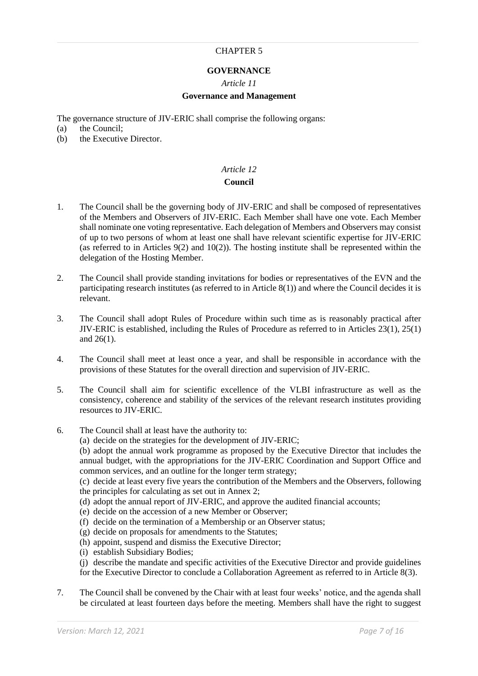#### CHAPTER 5

## **GOVERNANCE**

#### *Article 11*

#### **Governance and Management**

The governance structure of JIV-ERIC shall comprise the following organs:

- (a) the Council;<br>(b) the Executive
- the Executive Director.

## *Article 12*

#### **Council**

- 1. The Council shall be the governing body of JIV-ERIC and shall be composed of representatives of the Members and Observers of JIV-ERIC. Each Member shall have one vote. Each Member shall nominate one voting representative. Each delegation of Members and Observers may consist of up to two persons of whom at least one shall have relevant scientific expertise for JIV-ERIC (as referred to in Articles  $9(2)$  and  $10(2)$ ). The hosting institute shall be represented within the delegation of the Hosting Member.
- 2. The Council shall provide standing invitations for bodies or representatives of the EVN and the participating research institutes (as referred to in Article 8(1)) and where the Council decides it is relevant.
- 3. The Council shall adopt Rules of Procedure within such time as is reasonably practical after JIV-ERIC is established, including the Rules of Procedure as referred to in Articles 23(1), 25(1) and 26(1).
- 4. The Council shall meet at least once a year, and shall be responsible in accordance with the provisions of these Statutes for the overall direction and supervision of JIV-ERIC.
- 5. The Council shall aim for scientific excellence of the VLBI infrastructure as well as the consistency, coherence and stability of the services of the relevant research institutes providing resources to JIV-ERIC.
- 6. The Council shall at least have the authority to:

(a) decide on the strategies for the development of JIV-ERIC;

(b) adopt the annual work programme as proposed by the Executive Director that includes the annual budget, with the appropriations for the JIV-ERIC Coordination and Support Office and common services, and an outline for the longer term strategy;

(c) decide at least every five years the contribution of the Members and the Observers, following the principles for calculating as set out in Annex 2;

- (d) adopt the annual report of JIV-ERIC, and approve the audited financial accounts;
- (e) decide on the accession of a new Member or Observer;
- (f) decide on the termination of a Membership or an Observer status;
- (g) decide on proposals for amendments to the Statutes;
- (h) appoint, suspend and dismiss the Executive Director;
- (i) establish Subsidiary Bodies;
- (j) describe the mandate and specific activities of the Executive Director and provide guidelines for the Executive Director to conclude a Collaboration Agreement as referred to in Article 8(3).
- 7. The Council shall be convened by the Chair with at least four weeks' notice, and the agenda shall be circulated at least fourteen days before the meeting. Members shall have the right to suggest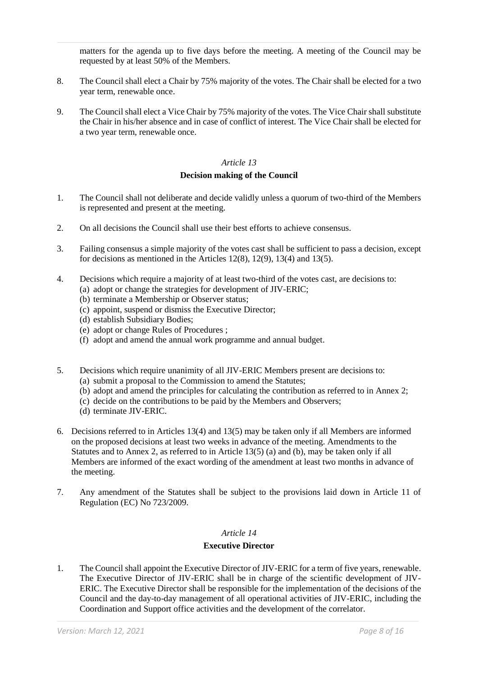matters for the agenda up to five days before the meeting. A meeting of the Council may be requested by at least 50% of the Members.

- 8. The Council shall elect a Chair by 75% majority of the votes. The Chair shall be elected for a two year term, renewable once.
- 9. The Council shall elect a Vice Chair by 75% majority of the votes. The Vice Chair shall substitute the Chair in his/her absence and in case of conflict of interest. The Vice Chair shall be elected for a two year term, renewable once.

#### *Article 13*

## **Decision making of the Council**

- 1. The Council shall not deliberate and decide validly unless a quorum of two-third of the Members is represented and present at the meeting.
- 2. On all decisions the Council shall use their best efforts to achieve consensus.
- 3. Failing consensus a simple majority of the votes cast shall be sufficient to pass a decision, except for decisions as mentioned in the Articles 12(8), 12(9), 13(4) and 13(5).
- 4. Decisions which require a majority of at least two-third of the votes cast, are decisions to:
	- (a) adopt or change the strategies for development of JIV-ERIC;
	- (b) terminate a Membership or Observer status;
	- (c) appoint, suspend or dismiss the Executive Director;
	- (d) establish Subsidiary Bodies;
	- (e) adopt or change Rules of Procedures ;
	- (f) adopt and amend the annual work programme and annual budget.
- 5. Decisions which require unanimity of all JIV-ERIC Members present are decisions to:
	- (a) submit a proposal to the Commission to amend the Statutes;
	- (b) adopt and amend the principles for calculating the contribution as referred to in Annex 2;
	- (c) decide on the contributions to be paid by the Members and Observers;
	- (d) terminate JIV-ERIC.
- 6. Decisions referred to in Articles 13(4) and 13(5) may be taken only if all Members are informed on the proposed decisions at least two weeks in advance of the meeting. Amendments to the Statutes and to Annex 2, as referred to in Article 13(5) (a) and (b), may be taken only if all Members are informed of the exact wording of the amendment at least two months in advance of the meeting.
- 7. Any amendment of the Statutes shall be subject to the provisions laid down in Article 11 of Regulation (EC) No 723/2009.

## *Article 14*

#### **Executive Director**

1. The Council shall appoint the Executive Director of JIV-ERIC for a term of five years, renewable. The Executive Director of JIV-ERIC shall be in charge of the scientific development of JIV-ERIC. The Executive Director shall be responsible for the implementation of the decisions of the Council and the day-to-day management of all operational activities of JIV-ERIC, including the Coordination and Support office activities and the development of the correlator.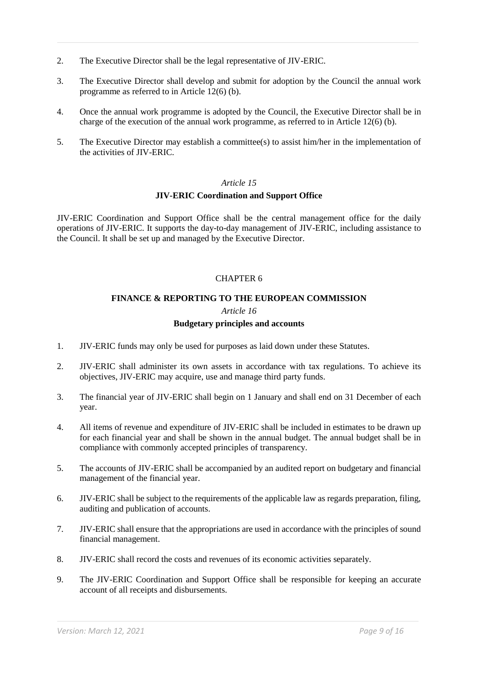- 2. The Executive Director shall be the legal representative of JIV-ERIC.
- 3. The Executive Director shall develop and submit for adoption by the Council the annual work programme as referred to in Article 12(6) (b).
- 4. Once the annual work programme is adopted by the Council, the Executive Director shall be in charge of the execution of the annual work programme, as referred to in Article 12(6) (b).
- 5. The Executive Director may establish a committee(s) to assist him/her in the implementation of the activities of JIV-ERIC.

#### **JIV-ERIC Coordination and Support Office**

JIV-ERIC Coordination and Support Office shall be the central management office for the daily operations of JIV-ERIC. It supports the day-to-day management of JIV-ERIC, including assistance to the Council. It shall be set up and managed by the Executive Director.

## CHAPTER 6

## **FINANCE & REPORTING TO THE EUROPEAN COMMISSION**

#### *Article 16*

## **Budgetary principles and accounts**

- 1. JIV-ERIC funds may only be used for purposes as laid down under these Statutes.
- 2. JIV-ERIC shall administer its own assets in accordance with tax regulations. To achieve its objectives, JIV-ERIC may acquire, use and manage third party funds.
- 3. The financial year of JIV-ERIC shall begin on 1 January and shall end on 31 December of each year.
- 4. All items of revenue and expenditure of JIV-ERIC shall be included in estimates to be drawn up for each financial year and shall be shown in the annual budget. The annual budget shall be in compliance with commonly accepted principles of transparency.
- 5. The accounts of JIV-ERIC shall be accompanied by an audited report on budgetary and financial management of the financial year.
- 6. JIV-ERIC shall be subject to the requirements of the applicable law as regards preparation, filing, auditing and publication of accounts.
- 7. JIV-ERIC shall ensure that the appropriations are used in accordance with the principles of sound financial management.
- 8. JIV-ERIC shall record the costs and revenues of its economic activities separately.
- 9. The JIV-ERIC Coordination and Support Office shall be responsible for keeping an accurate account of all receipts and disbursements.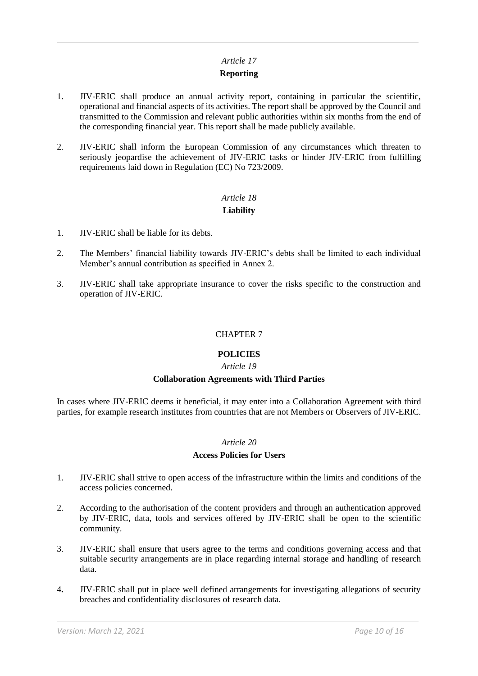## **Reporting**

- 1. JIV-ERIC shall produce an annual activity report, containing in particular the scientific, operational and financial aspects of its activities. The report shall be approved by the Council and transmitted to the Commission and relevant public authorities within six months from the end of the corresponding financial year. This report shall be made publicly available.
- 2. JIV-ERIC shall inform the European Commission of any circumstances which threaten to seriously jeopardise the achievement of JIV-ERIC tasks or hinder JIV-ERIC from fulfilling requirements laid down in Regulation (EC) No 723/2009.

# *Article 18*

## **Liability**

- 1. JIV-ERIC shall be liable for its debts.
- 2. The Members' financial liability towards JIV-ERIC's debts shall be limited to each individual Member's annual contribution as specified in Annex 2.
- 3. JIV-ERIC shall take appropriate insurance to cover the risks specific to the construction and operation of JIV-ERIC.

## CHAPTER 7

## **POLICIES**

## *Article 19*

## **Collaboration Agreements with Third Parties**

In cases where JIV-ERIC deems it beneficial, it may enter into a Collaboration Agreement with third parties, for example research institutes from countries that are not Members or Observers of JIV-ERIC.

## *Article 20*

## **Access Policies for Users**

- 1. JIV-ERIC shall strive to open access of the infrastructure within the limits and conditions of the access policies concerned.
- 2. According to the authorisation of the content providers and through an authentication approved by JIV-ERIC, data, tools and services offered by JIV-ERIC shall be open to the scientific community.
- 3. JIV-ERIC shall ensure that users agree to the terms and conditions governing access and that suitable security arrangements are in place regarding internal storage and handling of research data.
- 4**.** JIV-ERIC shall put in place well defined arrangements for investigating allegations of security breaches and confidentiality disclosures of research data.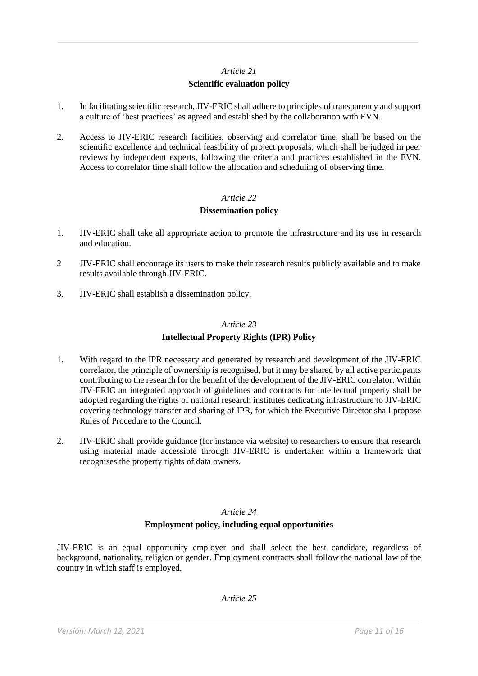## **Scientific evaluation policy**

- 1. In facilitating scientific research, JIV-ERIC shall adhere to principles of transparency and support a culture of 'best practices' as agreed and established by the collaboration with EVN.
- 2. Access to JIV-ERIC research facilities, observing and correlator time, shall be based on the scientific excellence and technical feasibility of project proposals, which shall be judged in peer reviews by independent experts, following the criteria and practices established in the EVN. Access to correlator time shall follow the allocation and scheduling of observing time.

## *Article 22*

## **Dissemination policy**

- 1. JIV-ERIC shall take all appropriate action to promote the infrastructure and its use in research and education.
- 2 JIV-ERIC shall encourage its users to make their research results publicly available and to make results available through JIV-ERIC.
- 3. JIV-ERIC shall establish a dissemination policy.

#### *Article 23*

## **Intellectual Property Rights (IPR) Policy**

- 1. With regard to the IPR necessary and generated by research and development of the JIV-ERIC correlator, the principle of ownership is recognised, but it may be shared by all active participants contributing to the research for the benefit of the development of the JIV-ERIC correlator. Within JIV-ERIC an integrated approach of guidelines and contracts for intellectual property shall be adopted regarding the rights of national research institutes dedicating infrastructure to JIV-ERIC covering technology transfer and sharing of IPR, for which the Executive Director shall propose Rules of Procedure to the Council.
- 2. JIV-ERIC shall provide guidance (for instance via website) to researchers to ensure that research using material made accessible through JIV-ERIC is undertaken within a framework that recognises the property rights of data owners.

## *Article 24*

## **Employment policy, including equal opportunities**

JIV-ERIC is an equal opportunity employer and shall select the best candidate, regardless of background, nationality, religion or gender. Employment contracts shall follow the national law of the country in which staff is employed.

*Article 25*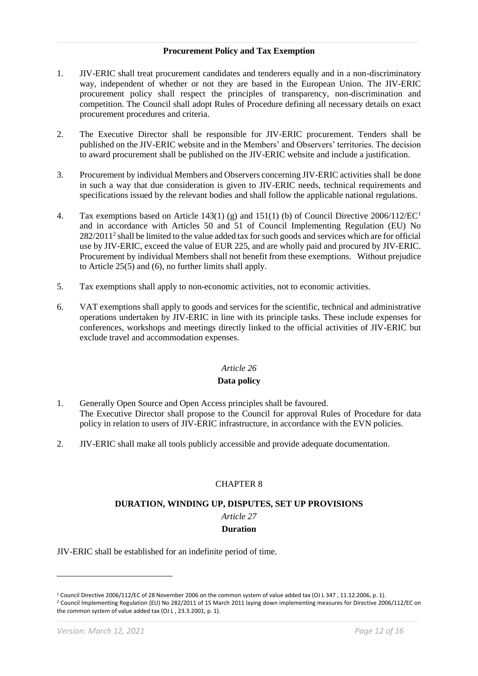### **Procurement Policy and Tax Exemption**

- 1. JIV-ERIC shall treat procurement candidates and tenderers equally and in a non-discriminatory way, independent of whether or not they are based in the European Union. The JIV-ERIC procurement policy shall respect the principles of transparency, non-discrimination and competition. The Council shall adopt Rules of Procedure defining all necessary details on exact procurement procedures and criteria.
- 2. The Executive Director shall be responsible for JIV-ERIC procurement. Tenders shall be published on the JIV-ERIC website and in the Members' and Observers' territories. The decision to award procurement shall be published on the JIV-ERIC website and include a justification.
- 3. Procurement by individual Members and Observers concerning JIV-ERIC activities shall be done in such a way that due consideration is given to JIV-ERIC needs, technical requirements and specifications issued by the relevant bodies and shall follow the applicable national regulations.
- 4. Tax exemptions based on Article 143(1) (g) and 151(1) (b) of Council Directive 2006/112/EC<sup>1</sup> and in accordance with Articles 50 and 51 of Council Implementing Regulation (EU) No  $282/2011<sup>2</sup>$  shall be limited to the value added tax for such goods and services which are for official use by JIV-ERIC, exceed the value of EUR 225, and are wholly paid and procured by JIV-ERIC. Procurement by individual Members shall not benefit from these exemptions. Without prejudice to Article 25(5) and (6), no further limits shall apply.
- 5. Tax exemptions shall apply to non-economic activities, not to economic activities.
- 6. VAT exemptions shall apply to goods and services for the scientific, technical and administrative operations undertaken by JIV-ERIC in line with its principle tasks. These include expenses for conferences, workshops and meetings directly linked to the official activities of JIV-ERIC but exclude travel and accommodation expenses.

#### *Article 26*

## **Data policy**

- 1. Generally Open Source and Open Access principles shall be favoured. The Executive Director shall propose to the Council for approval Rules of Procedure for data policy in relation to users of JIV-ERIC infrastructure, in accordance with the EVN policies.
- 2. JIV-ERIC shall make all tools publicly accessible and provide adequate documentation.

## CHAPTER 8

#### **DURATION, WINDING UP, DISPUTES, SET UP PROVISIONS**

## *Article 27*

## **Duration**

JIV-ERIC shall be established for an indefinite period of time.

<sup>2</sup> Council Implementing Regulation (EU) No 282/2011 of 15 March 2011 laying down implementing measures for Directive 2006/112/EC on the common system of value added tax (OJ L , 23.3.2001, p. 1).

 $\overline{a}$ 

<sup>1</sup> Council Directive 2006/112/EC of 28 November 2006 on the common system of value added tax (OJ L 347 , 11.12.2006, p. 1).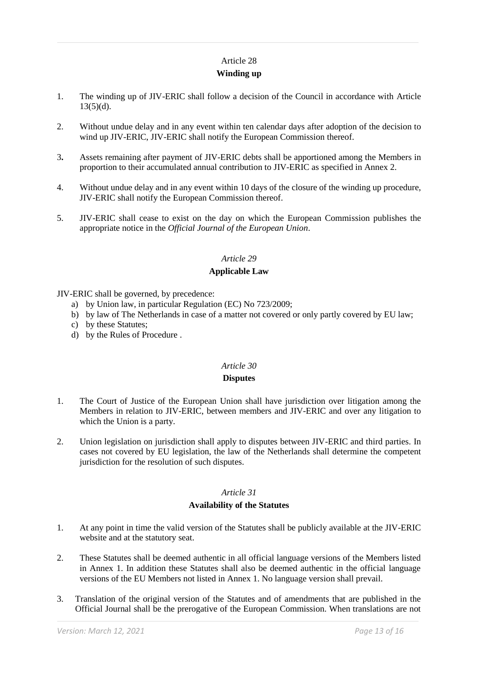## **Winding up**

- 1. The winding up of JIV-ERIC shall follow a decision of the Council in accordance with Article  $13(5)(d)$ .
- 2. Without undue delay and in any event within ten calendar days after adoption of the decision to wind up JIV-ERIC, JIV-ERIC shall notify the European Commission thereof.
- 3**.** Assets remaining after payment of JIV-ERIC debts shall be apportioned among the Members in proportion to their accumulated annual contribution to JIV-ERIC as specified in Annex 2.
- 4. Without undue delay and in any event within 10 days of the closure of the winding up procedure, JIV-ERIC shall notify the European Commission thereof.
- 5. JIV-ERIC shall cease to exist on the day on which the European Commission publishes the appropriate notice in the *Official Journal of the European Union*.

## *Article 29*

## **Applicable Law**

JIV-ERIC shall be governed, by precedence:

- a) by Union law, in particular Regulation (EC) No 723/2009;
- b) by law of The Netherlands in case of a matter not covered or only partly covered by EU law;
- c) by these Statutes;
- d) by the Rules of Procedure .

## *Article 30*

## **Disputes**

- 1. The Court of Justice of the European Union shall have jurisdiction over litigation among the Members in relation to JIV-ERIC, between members and JIV-ERIC and over any litigation to which the Union is a party.
- 2. Union legislation on jurisdiction shall apply to disputes between JIV-ERIC and third parties. In cases not covered by EU legislation, the law of the Netherlands shall determine the competent jurisdiction for the resolution of such disputes.

## *Article 31*

## **Availability of the Statutes**

- 1. At any point in time the valid version of the Statutes shall be publicly available at the JIV-ERIC website and at the statutory seat.
- 2. These Statutes shall be deemed authentic in all official language versions of the Members listed in Annex 1. In addition these Statutes shall also be deemed authentic in the official language versions of the EU Members not listed in Annex 1. No language version shall prevail.
- 3. Translation of the original version of the Statutes and of amendments that are published in the Official Journal shall be the prerogative of the European Commission. When translations are not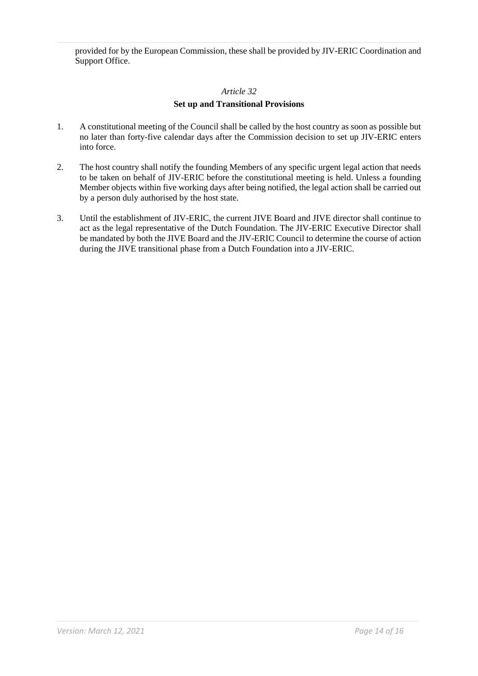provided for by the European Commission, these shall be provided by JIV-ERIC Coordination and Support Office.

## *Article 32*

## **Set up and Transitional Provisions**

- 1. A constitutional meeting of the Council shall be called by the host country as soon as possible but no later than forty-five calendar days after the Commission decision to set up JIV-ERIC enters into force.
- 2. The host country shall notify the founding Members of any specific urgent legal action that needs to be taken on behalf of JIV-ERIC before the constitutional meeting is held. Unless a founding Member objects within five working days after being notified, the legal action shall be carried out by a person duly authorised by the host state.
- 3. Until the establishment of JIV-ERIC, the current JIVE Board and JIVE director shall continue to act as the legal representative of the Dutch Foundation. The JIV-ERIC Executive Director shall be mandated by both the JIVE Board and the JIV-ERIC Council to determine the course of action during the JIVE transitional phase from a Dutch Foundation into a JIV-ERIC.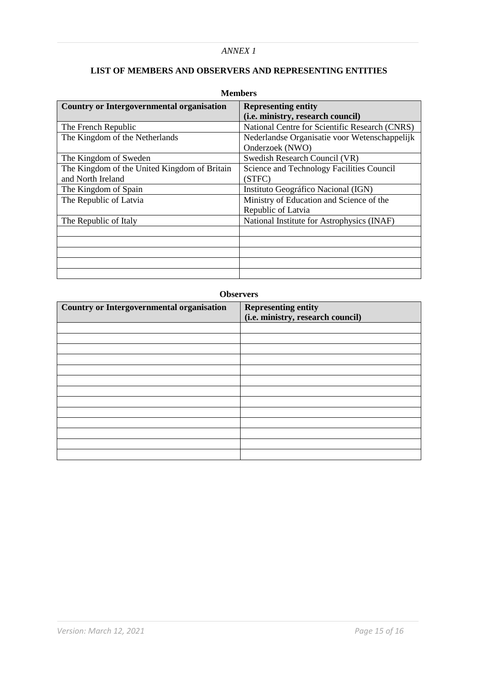## *ANNEX 1*

# **LIST OF MEMBERS AND OBSERVERS AND REPRESENTING ENTITIES**

| <b>Country or Intergovernmental organisation</b> | <b>Representing entity</b>                     |  |  |
|--------------------------------------------------|------------------------------------------------|--|--|
|                                                  | (i.e. ministry, research council)              |  |  |
| The French Republic                              | National Centre for Scientific Research (CNRS) |  |  |
| The Kingdom of the Netherlands                   | Nederlandse Organisatie voor Wetenschappelijk  |  |  |
|                                                  | Onderzoek (NWO)                                |  |  |
| The Kingdom of Sweden                            | Swedish Research Council (VR)                  |  |  |
| The Kingdom of the United Kingdom of Britain     | Science and Technology Facilities Council      |  |  |
| and North Ireland                                | (STFC)                                         |  |  |
| The Kingdom of Spain                             | Instituto Geográfico Nacional (IGN)            |  |  |
| The Republic of Latvia                           | Ministry of Education and Science of the       |  |  |
|                                                  | Republic of Latvia                             |  |  |
| The Republic of Italy                            | National Institute for Astrophysics (INAF)     |  |  |
|                                                  |                                                |  |  |
|                                                  |                                                |  |  |
|                                                  |                                                |  |  |
|                                                  |                                                |  |  |
|                                                  |                                                |  |  |

## **Members**

#### **Observers**

| <b>Country or Intergovernmental organisation</b> | <b>Representing entity</b><br>(i.e. ministry, research council) |  |  |
|--------------------------------------------------|-----------------------------------------------------------------|--|--|
|                                                  |                                                                 |  |  |
|                                                  |                                                                 |  |  |
|                                                  |                                                                 |  |  |
|                                                  |                                                                 |  |  |
|                                                  |                                                                 |  |  |
|                                                  |                                                                 |  |  |
|                                                  |                                                                 |  |  |
|                                                  |                                                                 |  |  |
|                                                  |                                                                 |  |  |
|                                                  |                                                                 |  |  |
|                                                  |                                                                 |  |  |
|                                                  |                                                                 |  |  |
|                                                  |                                                                 |  |  |